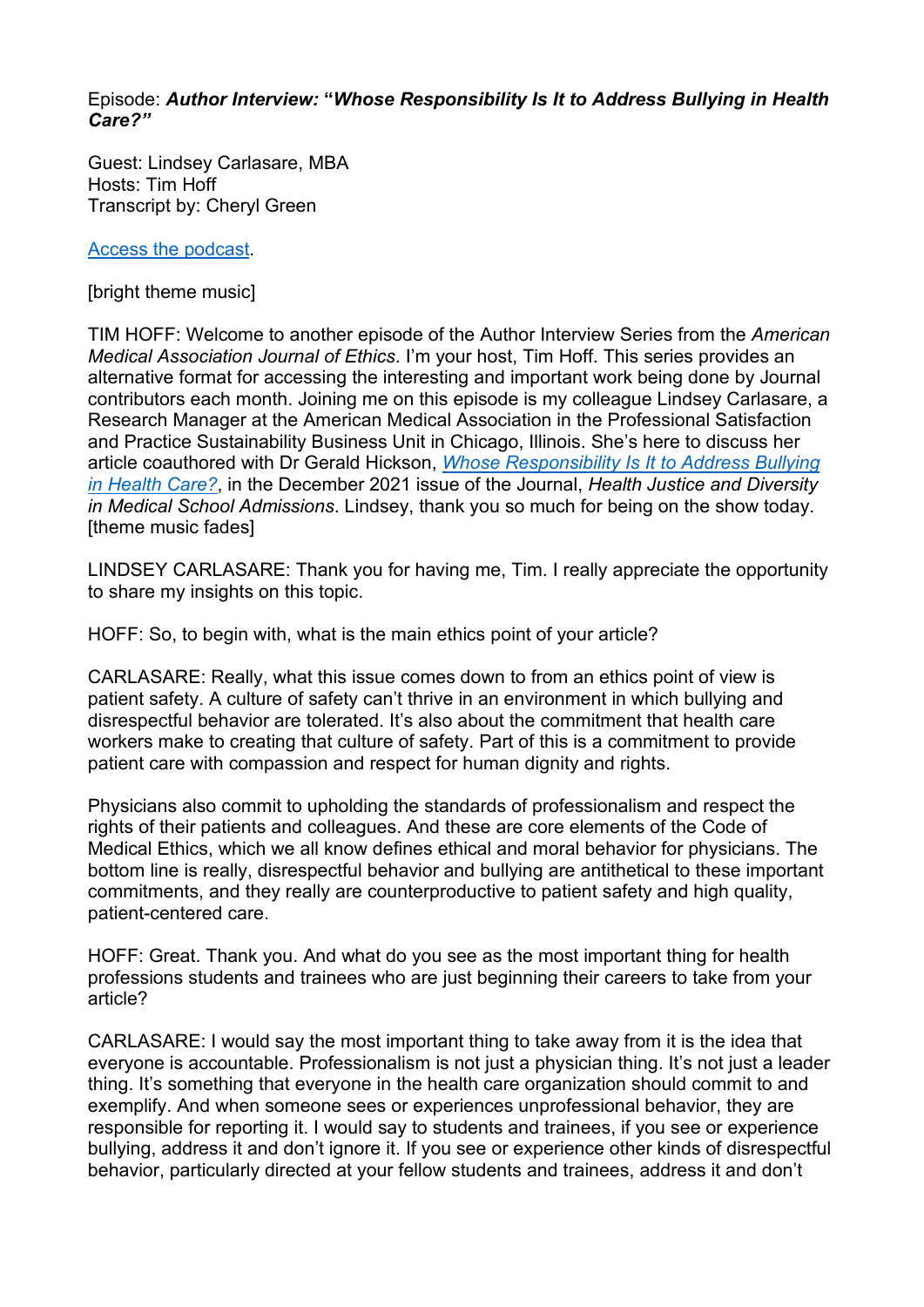## Episode: *Author Interview:* **"***Whose Responsibility Is It to Address Bullying in Health Care?"*

Guest: Lindsey Carlasare, MBA Hosts: Tim Hoff Transcript by: Cheryl Green

[Access the podcast.](https://journalofethics.ama-assn.org/podcast/author-interview-whose-responsibility-it-address-bullying-health-care)

[bright theme music]

TIM HOFF: Welcome to another episode of the Author Interview Series from the *American Medical Association Journal of Ethics*. I'm your host, Tim Hoff. This series provides an alternative format for accessing the interesting and important work being done by Journal contributors each month. Joining me on this episode is my colleague Lindsey Carlasare, a Research Manager at the American Medical Association in the Professional Satisfaction and Practice Sustainability Business Unit in Chicago, Illinois. She's here to discuss her article coauthored with Dr Gerald Hickson, *[Whose Responsibility Is It to Address Bullying](https://journalofethics.ama-assn.org/article/whose-responsibility-it-address-bullying-health-care/2021-12)  [in Health Care?](https://journalofethics.ama-assn.org/article/whose-responsibility-it-address-bullying-health-care/2021-12)*, in the December 2021 issue of the Journal, *Health Justice and Diversity in Medical School Admissions*. Lindsey, thank you so much for being on the show today. [theme music fades]

LINDSEY CARLASARE: Thank you for having me, Tim. I really appreciate the opportunity to share my insights on this topic.

HOFF: So, to begin with, what is the main ethics point of your article?

CARLASARE: Really, what this issue comes down to from an ethics point of view is patient safety. A culture of safety can't thrive in an environment in which bullying and disrespectful behavior are tolerated. It's also about the commitment that health care workers make to creating that culture of safety. Part of this is a commitment to provide patient care with compassion and respect for human dignity and rights.

Physicians also commit to upholding the standards of professionalism and respect the rights of their patients and colleagues. And these are core elements of the Code of Medical Ethics, which we all know defines ethical and moral behavior for physicians. The bottom line is really, disrespectful behavior and bullying are antithetical to these important commitments, and they really are counterproductive to patient safety and high quality, patient-centered care.

HOFF: Great. Thank you. And what do you see as the most important thing for health professions students and trainees who are just beginning their careers to take from your article?

CARLASARE: I would say the most important thing to take away from it is the idea that everyone is accountable. Professionalism is not just a physician thing. It's not just a leader thing. It's something that everyone in the health care organization should commit to and exemplify. And when someone sees or experiences unprofessional behavior, they are responsible for reporting it. I would say to students and trainees, if you see or experience bullying, address it and don't ignore it. If you see or experience other kinds of disrespectful behavior, particularly directed at your fellow students and trainees, address it and don't